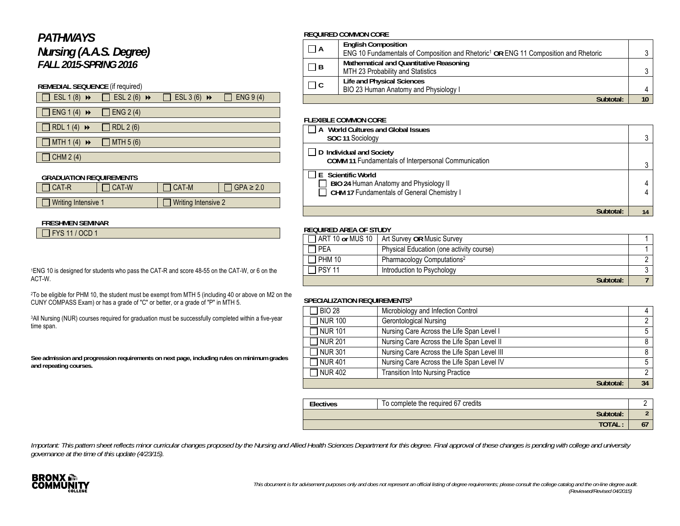# *PATHWAYS Nursing (A.A.S. Degree) FALL 2015-SPRING 2016*

## **REMEDIAL SEQUENCE** (if required)

| $\Box$ ESL 1 (8) $\rightarrow$ $\Box$ ESL 2 (6) $\rightarrow$ $\Box$ ESL 3 (6) $\rightarrow$ $\Box$ ENG 9 (4) |  |  |
|---------------------------------------------------------------------------------------------------------------|--|--|
| $\Box$ ENG 1 (4) $\rightarrow$ $\Box$ ENG 2 (4)                                                               |  |  |
| $\Box$ RDL1(4) $\rightarrow$ $\Box$ RDL2(6)                                                                   |  |  |

 $\Box$  MTH 1 (4)  $\rightarrow$   $\Box$  MTH 5 (6)

 $\Box$  CHM 2(4)

#### **GRADUATION REQUIREMENTS**

| <b>I CAT-R</b>      | I CAT-W | I CAT-M             | $GPA \geq 2.0$ |
|---------------------|---------|---------------------|----------------|
|                     |         |                     |                |
| Writing Intensive 1 |         | Writing Intensive 2 |                |

#### **FRESHMEN SEMINAR**

| $\Box$ FYS 11 / OCD 1 |  |
|-----------------------|--|
|-----------------------|--|

1ENG 10 is designed for students who pass the CAT-R and score 48-55 on the CAT-W, or 6 on the ACT-W.

2To be eligible for PHM 10, the student must be exempt from MTH 5 (including 40 or above on M2 on the CUNY COMPASS Exam) or has a grade of "C" or better, or a grade of "P" in MTH 5.

<sup>3</sup>All Nursing (NUR) courses required for graduation must be successfully completed within a five-year time span.

**See admission and progression requirements on next page, including rules on minimum grades and repeating courses.** 

#### **REQUIRED COMMON CORE**

| $\Box$ A | <b>English Composition</b><br>ENG 10 Fundamentals of Composition and Rhetoric <sup>1</sup> OR ENG 11 Composition and Rhetoric |  |
|----------|-------------------------------------------------------------------------------------------------------------------------------|--|
| $\Box$ B | Mathematical and Quantitative Reasoning<br>MTH 23 Probability and Statistics                                                  |  |
| $\Box$ C | Life and Physical Sciences<br>BIO 23 Human Anatomy and Physiology I                                                           |  |
|          | Subtotal:                                                                                                                     |  |

#### **FLEXIBLE COMMON CORE**

| World Cultures and Global Issues<br>A<br>SOC 11 Sociology                                                  |  |
|------------------------------------------------------------------------------------------------------------|--|
| $\Box$ D Individual and Society<br>COMM 11 Fundamentals of Interpersonal Communication                     |  |
| E Scientific World<br>BIO 24 Human Anatomy and Physiology II<br>CHM 17 Fundamentals of General Chemistry I |  |
| Subtotal:                                                                                                  |  |

### **REQUIRED AREA OF STUDY**

|               | ART 10 or MUS 10   Art Survey OR Music Survey |  |  |
|---------------|-----------------------------------------------|--|--|
| <b>PEA</b>    | Physical Education (one activity course)      |  |  |
| <b>PHM 10</b> | Pharmacology Computations <sup>2</sup>        |  |  |
| 1 PSY 11      | Introduction to Psychology                    |  |  |
|               | Subtotal:                                     |  |  |

### **SPECIALIZATION REQUIREMENTS3**

| <b>BIO 28</b> | Microbiology and Infection Control          |    |
|---------------|---------------------------------------------|----|
| T NUR 100     | <b>Gerontological Nursing</b>               | ∩  |
| 7 NUR 101     | Nursing Care Across the Life Span Level I   |    |
| 7 NUR 201     | Nursing Care Across the Life Span Level II  |    |
| 7 NUR 301     | Nursing Care Across the Life Span Level III | 8  |
| 7 NUR 401     | Nursing Care Across the Life Span Level IV  |    |
| 7 NUR 402     | <b>Transition Into Nursing Practice</b>     | n  |
|               | Subtotal:                                   | 34 |

| Electives | To complete the required 67 credits |  |
|-----------|-------------------------------------|--|
|           | Subtotal:                           |  |
|           | <b>TOTAL</b>                        |  |

Important: This pattern sheet reflects minor curricular changes proposed by the Nursing and Allied Health Sciences Department for this degree. Final approval of these changes is pending with college and university *governance at the time of this update (4/23/15).*